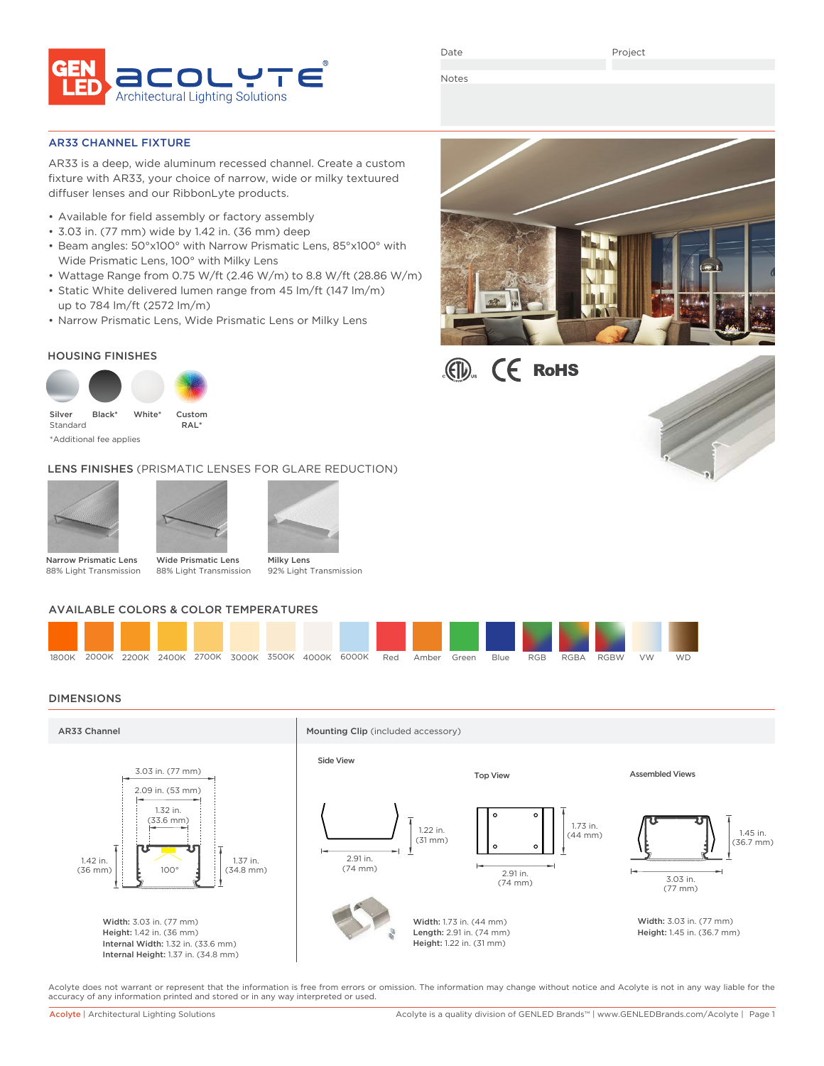

Date

Project

Notes

# AR33 CHANNEL FIXTURE

AR33 is a deep, wide aluminum recessed channel. Create a custom fixture with AR33, your choice of narrow, wide or milky textuured diffuser lenses and our RibbonLyte products.

- Available for field assembly or factory assembly
- 3.03 in. (77 mm) wide by 1.42 in. (36 mm) deep
- Beam angles: 50°x100° with Narrow Prismatic Lens, 85°x100° with Wide Prismatic Lens, 100° with Milky Lens
- Wattage Range from 0.75 W/ft (2.46 W/m) to 8.8 W/ft (28.86 W/m)
- Static White delivered lumen range from 45 lm/ft (147 lm/m) up to 784 lm/ft (2572 lm/m)
- Narrow Prismatic Lens, Wide Prismatic Lens or Milky Lens

# HOUSING FINISHES



\*Additional fee applies

LENS FINISHES (PRISMATIC LENSES FOR GLARE REDUCTION)





Narrow Prismatic Lens 88% Light Transmission

88% Light Transmission

Milky Lens 92% Light Transmission

# AVAILABLE COLORS & COLOR TEMPERATURES



# DIMENSIONS



Acolyte does not warrant or represent that the information is free from errors or omission. The information may change without notice and Acolyte is not in any way liable for the accuracy of any information printed and stored or in any way interpreted or used.





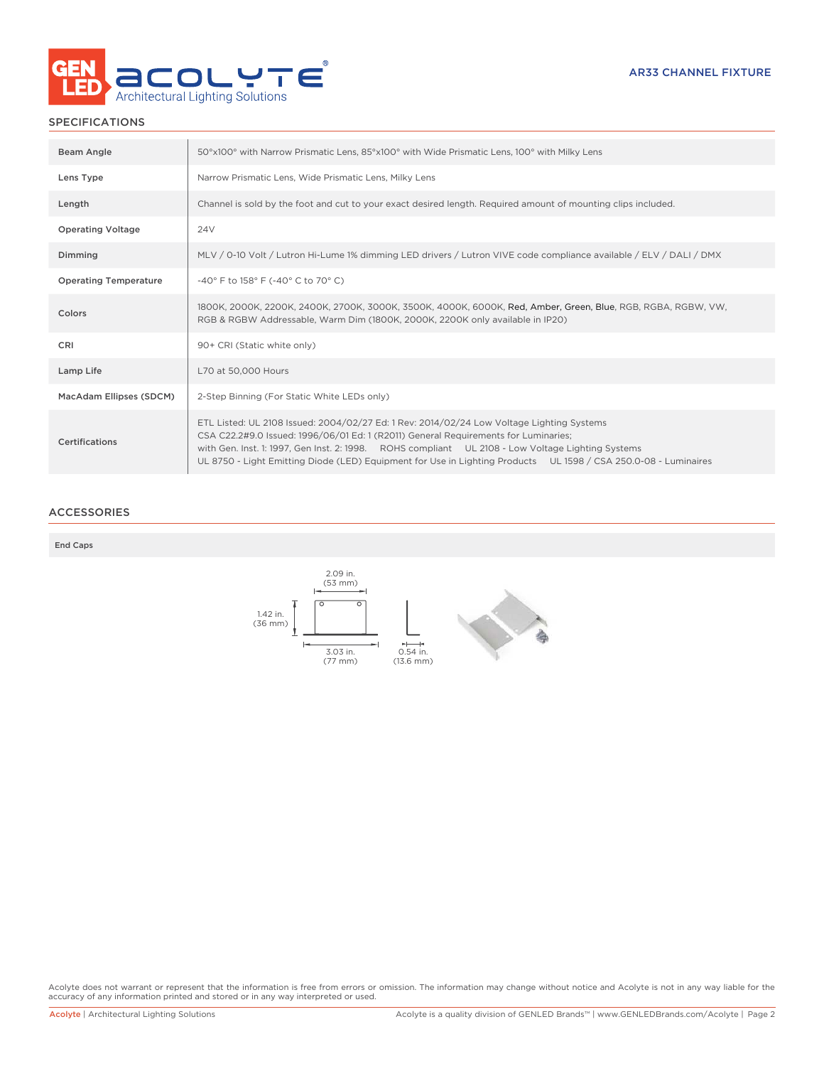

# SPECIFICATIONS

| Beam Angle                   | 50°x100° with Narrow Prismatic Lens, 85°x100° with Wide Prismatic Lens, 100° with Milky Lens                                                                                                                                                                                                                                                                                                             |
|------------------------------|----------------------------------------------------------------------------------------------------------------------------------------------------------------------------------------------------------------------------------------------------------------------------------------------------------------------------------------------------------------------------------------------------------|
| Lens Type                    | Narrow Prismatic Lens, Wide Prismatic Lens, Milky Lens                                                                                                                                                                                                                                                                                                                                                   |
| Length                       | Channel is sold by the foot and cut to your exact desired length. Required amount of mounting clips included.                                                                                                                                                                                                                                                                                            |
| <b>Operating Voltage</b>     | 24 <sub>V</sub>                                                                                                                                                                                                                                                                                                                                                                                          |
| Dimming                      | MLV / 0-10 Volt / Lutron Hi-Lume 1% dimming LED drivers / Lutron VIVE code compliance available / ELV / DALI / DMX                                                                                                                                                                                                                                                                                       |
| <b>Operating Temperature</b> | -40° F to 158° F (-40° C to 70° C)                                                                                                                                                                                                                                                                                                                                                                       |
| Colors                       | 1800K, 2000K, 2200K, 2400K, 2700K, 3000K, 3500K, 4000K, 6000K, Red, Amber, Green, Blue, RGB, RGBA, RGBW, VW,<br>RGB & RGBW Addressable, Warm Dim (1800K, 2000K, 2200K only available in IP20)                                                                                                                                                                                                            |
| CRI                          | 90+ CRI (Static white only)                                                                                                                                                                                                                                                                                                                                                                              |
| Lamp Life                    | L70 at 50,000 Hours                                                                                                                                                                                                                                                                                                                                                                                      |
| MacAdam Ellipses (SDCM)      | 2-Step Binning (For Static White LEDs only)                                                                                                                                                                                                                                                                                                                                                              |
| <b>Certifications</b>        | ETL Listed: UL 2108 Issued: 2004/02/27 Ed: 1 Rev: 2014/02/24 Low Voltage Lighting Systems<br>CSA C22.2#9.0 Issued: 1996/06/01 Ed: 1 (R2011) General Requirements for Luminaries;<br>with Gen. Inst. 1: 1997, Gen Inst. 2: 1998. ROHS compliant UL 2108 - Low Voltage Lighting Systems<br>UL 8750 - Light Emitting Diode (LED) Equipment for Use in Lighting Products UL 1598 / CSA 250.0-08 - Luminaires |

# ACCESSORIES

### End Caps



Acolyte does not warrant or represent that the information is free from errors or omission. The information may change without notice and Acolyte is not in any way liable for the<br>accuracy of any information printed and sto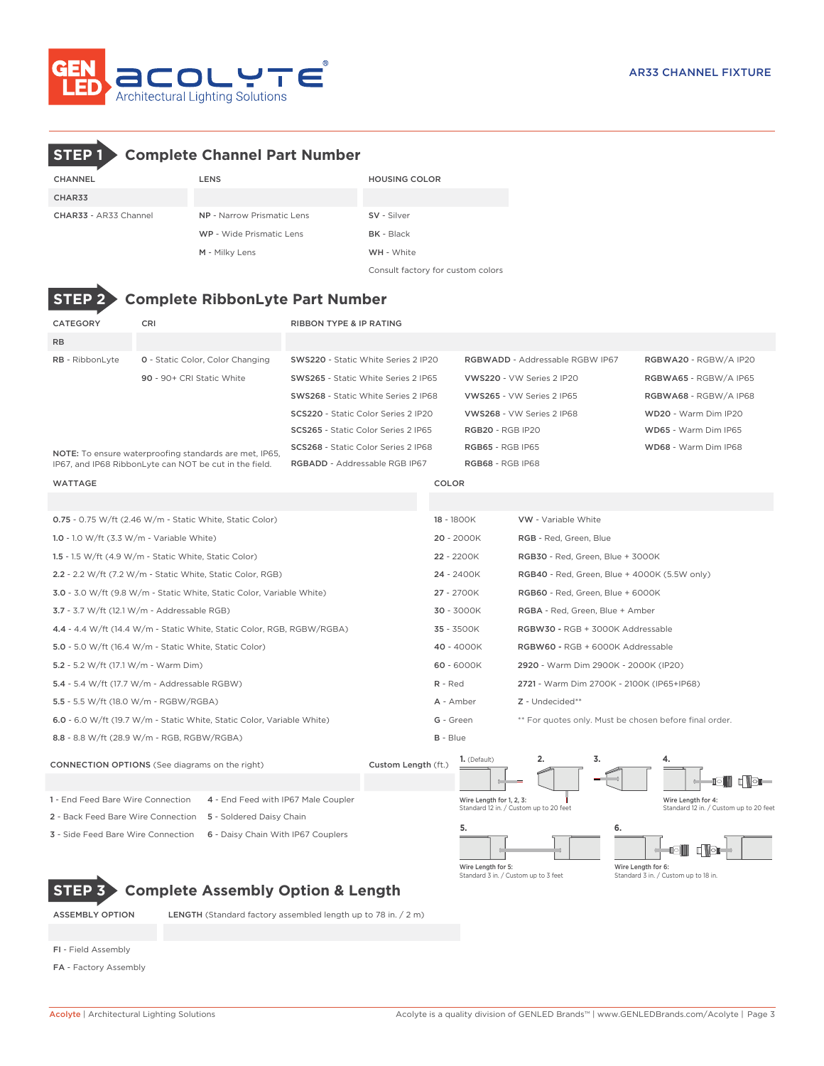

# CHANNEL LENS LENS HOUSING COLOR CHAR33 CHAR33 - AR33 Channel NP - Narrow Prismatic Lens SV - Silver WP - Wide Prismatic Lens BK - Black M - Milky Lens WH - White Consult factory for custom colors **STEP 2 Complete RibbonLyte Part Number STEP 1 Complete Channel Part Number**

| <b>CATEGORY</b>                             | CRI                                                                    | <b>RIBBON TYPE &amp; IP RATING</b>         |                                                                     |                                                                    |                                                              |  |  |  |
|---------------------------------------------|------------------------------------------------------------------------|--------------------------------------------|---------------------------------------------------------------------|--------------------------------------------------------------------|--------------------------------------------------------------|--|--|--|
| <b>RB</b>                                   |                                                                        |                                            |                                                                     |                                                                    |                                                              |  |  |  |
| RB - RibbonLyte                             | <b>0</b> - Static Color, Color Changing                                | SWS220 - Static White Series 2 IP20        |                                                                     | RGBWADD - Addressable RGBW IP67                                    | RGBWA20 - RGBW/A IP20                                        |  |  |  |
|                                             | 90 - 90+ CRI Static White                                              | SWS265 - Static White Series 2 IP65        |                                                                     | VWS220 - VW Series 2 IP20                                          | RGBWA65 - RGBW/A IP65                                        |  |  |  |
|                                             |                                                                        | SWS268 - Static White Series 2 IP68        |                                                                     | VWS265 - VW Series 2 IP65                                          | RGBWA68 - RGBW/A IP68                                        |  |  |  |
|                                             |                                                                        | SCS220 - Static Color Series 2 IP20        |                                                                     | VWS268 - VW Series 2 IP68                                          | WD20 - Warm Dim IP20                                         |  |  |  |
|                                             |                                                                        | SCS265 - Static Color Series 2 IP65        |                                                                     | <b>RGB20 - RGB IP20</b>                                            | WD65 - Warm Dim IP65                                         |  |  |  |
|                                             | NOTE: To ensure waterproofing standards are met, IP65,                 | <b>SCS268</b> - Static Color Series 2 IP68 |                                                                     | <b>RGB65 - RGB IP65</b>                                            | WD68 - Warm Dim IP68                                         |  |  |  |
|                                             | IP67, and IP68 RibbonLyte can NOT be cut in the field.                 | RGBADD - Addressable RGB IP67              |                                                                     | <b>RGB68 - RGB IP68</b>                                            |                                                              |  |  |  |
| <b>WATTAGE</b>                              |                                                                        |                                            | COLOR                                                               |                                                                    |                                                              |  |  |  |
|                                             |                                                                        |                                            |                                                                     |                                                                    |                                                              |  |  |  |
|                                             | <b>0.75</b> - 0.75 W/ft (2.46 W/m - Static White, Static Color)        |                                            | 18 - 1800K                                                          | <b>VW</b> - Variable White                                         |                                                              |  |  |  |
| 1.0 - 1.0 W/ft $(3.3 W/m - Variable White)$ |                                                                        |                                            | $20 - 2000K$                                                        | RGB - Red, Green, Blue                                             |                                                              |  |  |  |
|                                             | 1.5 - 1.5 W/ft (4.9 W/m - Static White, Static Color)                  |                                            | 22 - 2200K                                                          | RGB30 - Red, Green, Blue + 3000K                                   |                                                              |  |  |  |
|                                             | 2.2 - 2.2 W/ft (7.2 W/m - Static White, Static Color, RGB)             |                                            | 24 - 2400K                                                          | RGB40 - Red, Green, Blue + 4000K (5.5W only)                       |                                                              |  |  |  |
|                                             | 3.0 - 3.0 W/ft (9.8 W/m - Static White, Static Color, Variable White)  |                                            | 27 - 2700K                                                          | RGB60 - Red, Green, Blue + 6000K                                   |                                                              |  |  |  |
|                                             | $3.7 - 3.7$ W/ft (12.1 W/m - Addressable RGB)                          |                                            | 30 - 3000K<br>RGBA - Red, Green, Blue + Amber                       |                                                                    |                                                              |  |  |  |
|                                             | 4.4 - 4.4 W/ft (14.4 W/m - Static White, Static Color, RGB, RGBW/RGBA) |                                            | 35 - 3500K                                                          | RGBW30 - RGB + 3000K Addressable                                   |                                                              |  |  |  |
|                                             | 5.0 - 5.0 W/ft (16.4 W/m - Static White, Static Color)                 |                                            | 40 - 4000K<br>RGBW60 - RGB + 6000K Addressable                      |                                                                    |                                                              |  |  |  |
| 5.2 - 5.2 W/ft (17.1 W/m - Warm Dim)        |                                                                        |                                            | $60 - 6000K$<br>2920 - Warm Dim 2900K - 2000K (IP20)                |                                                                    |                                                              |  |  |  |
|                                             | 5.4 - 5.4 W/ft (17.7 W/m - Addressable RGBW)                           |                                            | $R - Red$                                                           | 2721 - Warm Dim 2700K - 2100K (IP65+IP68)                          |                                                              |  |  |  |
|                                             | 5.5 - 5.5 W/ft (18.0 W/m - RGBW/RGBA)                                  |                                            | A - Amber                                                           | Z - Undecided**                                                    |                                                              |  |  |  |
|                                             | 6.0 - 6.0 W/ft (19.7 W/m - Static White, Static Color, Variable White) |                                            | ** For quotes only. Must be chosen before final order.<br>G - Green |                                                                    |                                                              |  |  |  |
|                                             | 8.8 - 8.8 W/ft (28.9 W/m - RGB, RGBW/RGBA)                             |                                            | $B - Blue$                                                          |                                                                    |                                                              |  |  |  |
|                                             | <b>CONNECTION OPTIONS</b> (See diagrams on the right)                  | Custom Length (ft.)                        | 1. (Default)                                                        | 3.<br>2.                                                           | 4.                                                           |  |  |  |
|                                             |                                                                        |                                            |                                                                     |                                                                    | IOII<br>л                                                    |  |  |  |
| 1 - End Feed Bare Wire Connection           | 4 - End Feed with IP67 Male Coupler                                    |                                            |                                                                     | Wire Length for 1, 2, 3:<br>Standard 12 in. / Custom up to 20 feet | Wire Length for 4:<br>Standard 12 in. / Custom up to 20 feet |  |  |  |
|                                             | 2 - Back Feed Bare Wire Connection 5 - Soldered Daisy Chain            |                                            |                                                                     |                                                                    |                                                              |  |  |  |
| 3 - Side Feed Bare Wire Connection          | 6 - Daisy Chain With IP67 Couplers                                     |                                            | 5.                                                                  | 6.                                                                 | íoii                                                         |  |  |  |

Wire Length for 5: Standard 3 in. / Custom up to 3 feet

Wire Length for 6: Standard 3 in. / Custom up to 18 in.

**STEP 3 Complete Assembly Option & Length**

ASSEMBLY OPTION LENGTH (Standard factory assembled length up to 78 in. / 2 m)

FI - Field Assembly

FA - Factory Assembly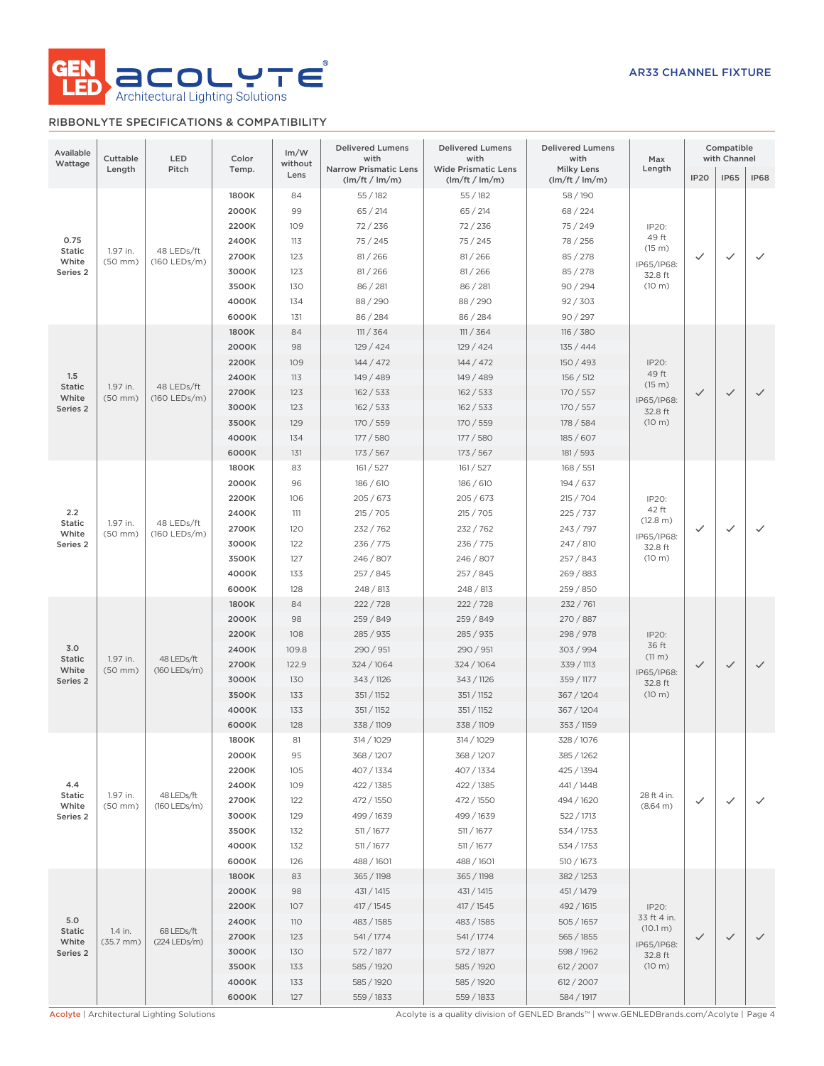

# RIBBONLYTE SPECIFICATIONS & COMPATIBILITY

| Available<br>Wattage | Cuttable<br>LED<br>Pitch<br>Length |                              | Color<br>Temp. | Im/W<br>without | <b>Delivered Lumens</b><br>with<br><b>Narrow Prismatic Lens</b> | <b>Delivered Lumens</b><br>with<br><b>Wide Prismatic Lens</b> | <b>Delivered Lumens</b><br>with<br>Milky Lens | Max<br>Length        | Compatible<br>with Channel |              |              |           |           |       |           |           |           |        |  |  |
|----------------------|------------------------------------|------------------------------|----------------|-----------------|-----------------------------------------------------------------|---------------------------------------------------------------|-----------------------------------------------|----------------------|----------------------------|--------------|--------------|-----------|-----------|-------|-----------|-----------|-----------|--------|--|--|
|                      |                                    |                              |                | Lens            | (lm/ft / lm/m)                                                  | (lm/ft / lm/m)                                                | (lm/ft / lm/m)                                |                      | <b>IP20</b>                | <b>IP65</b>  | <b>IP68</b>  |           |           |       |           |           |           |        |  |  |
|                      |                                    |                              | 1800K          | 84              | 55/182                                                          | 55/182                                                        | 58 / 190                                      |                      |                            |              |              |           |           |       |           |           |           |        |  |  |
|                      |                                    |                              | 2000K          | 99              | 65 / 214                                                        | 65 / 214                                                      | 68/224                                        |                      |                            |              |              |           |           |       |           |           |           |        |  |  |
|                      |                                    |                              | 2200K          | 109             | 72/236                                                          | 72/236                                                        | 75 / 249                                      | IP20:                |                            |              |              |           |           |       |           |           |           |        |  |  |
| 0.75                 |                                    |                              | 2400K          | 113             | 75/245                                                          | 75/245                                                        | 78 / 256                                      | 49 ft<br>(15 m)      |                            |              |              |           |           |       |           |           |           |        |  |  |
| Static<br>White      | 1.97 in.<br>$(50$ mm $)$           | 48 LEDs/ft<br>$(160$ LEDs/m) | 2700K          | 123             | 81/266                                                          | 81 / 266                                                      | 85 / 278                                      | IP65/IP68:           | ✓                          | $\checkmark$ | $\checkmark$ |           |           |       |           |           |           |        |  |  |
| Series <sub>2</sub>  |                                    |                              | 3000K          | 123             | 81/266                                                          | 81 / 266                                                      | 85 / 278                                      | 32.8 ft              |                            |              |              |           |           |       |           |           |           |        |  |  |
|                      |                                    |                              | 3500K          | 130             | 86 / 281                                                        | 86 / 281                                                      | 90/294                                        | (10 m)               |                            |              |              |           |           |       |           |           |           |        |  |  |
|                      |                                    |                              | 4000K          | 134             | 88/290                                                          | 88/290                                                        | 92 / 303                                      |                      |                            |              |              |           |           |       |           |           |           |        |  |  |
|                      |                                    |                              | 6000K          | 131             | 86 / 284                                                        | 86 / 284                                                      | 90/297                                        |                      |                            |              |              |           |           |       |           |           |           |        |  |  |
|                      |                                    |                              | 1800K          | 84              | 111 / 364                                                       | 111 / 364                                                     | 116 / 380                                     |                      |                            |              |              |           |           |       |           |           |           |        |  |  |
|                      |                                    |                              | 2000K          | 98              | 129/424                                                         | 129 / 424                                                     | 135/444                                       |                      |                            |              |              |           |           |       |           |           |           |        |  |  |
|                      |                                    |                              | 2200K          | 109             | 144 / 472                                                       | 144 / 472                                                     | 150 / 493                                     | IP20:                |                            |              |              |           |           |       |           |           |           |        |  |  |
| 1.5<br><b>Static</b> | 1.97 in.                           | 48 LEDs/ft                   | 2400K          | 113             | 149 / 489                                                       | 149 / 489                                                     | 156 / 512                                     | 49 ft<br>(15 m)      |                            |              |              |           |           |       |           |           |           |        |  |  |
| White                | $(50$ mm $)$                       | $(160$ LEDs/m)               | 2700K          | 123             | 162 / 533                                                       | 162 / 533                                                     | 170 / 557                                     | IP65/IP68:           | $\checkmark$               | $\checkmark$ | $\checkmark$ |           |           |       |           |           |           |        |  |  |
| Series <sub>2</sub>  |                                    |                              | 3000K          | 123             | 162 / 533                                                       | 162 / 533                                                     | 170 / 557                                     | 32.8 ft              |                            |              |              |           |           |       |           |           |           |        |  |  |
|                      |                                    |                              | 3500K          | 129             | 170 / 559                                                       | 170 / 559                                                     | 178 / 584                                     | (10 m)               |                            |              |              |           |           |       |           |           |           |        |  |  |
|                      |                                    |                              | 4000K          | 134             | 177 / 580                                                       | 177 / 580                                                     | 185/607                                       |                      |                            |              |              |           |           |       |           |           |           |        |  |  |
|                      |                                    |                              | 6000K          | 131             | 173 / 567                                                       | 173 / 567                                                     | 181 / 593                                     |                      |                            |              |              |           |           |       |           |           |           |        |  |  |
|                      |                                    |                              | 1800K          | 83              | 161 / 527                                                       | 161 / 527                                                     | 168 / 551                                     |                      |                            |              |              |           |           |       |           |           |           |        |  |  |
|                      |                                    | 48 LEDs/ft                   |                |                 | 2000K                                                           | 96                                                            | 186 / 610                                     | 186 / 610            | 194 / 637                  |              |              |           |           |       |           |           |           |        |  |  |
|                      |                                    |                              |                | 2200K           | 106                                                             | 205/673                                                       | 205/673                                       | 215 / 704            | IP20:                      |              |              |           |           |       |           |           |           |        |  |  |
| 2.2                  | 1.97 in.                           |                              | 2400K          | 111             | 215 / 705                                                       | 215 / 705                                                     | 225/737                                       | 42 ft<br>(12.8 m)    |                            |              |              |           |           |       |           |           |           |        |  |  |
| Static<br>White      | $(50$ mm $)$                       | (160 LEDs/m)                 | 2700K          | 120             | 232 / 762                                                       | 232 / 762                                                     | 243 / 797                                     | IP65/IP68:           | $\checkmark$               | $\checkmark$ | ✓            |           |           |       |           |           |           |        |  |  |
| Series 2             |                                    |                              | 3000K          | 122             | 236 / 775                                                       | 236 / 775                                                     | 247 / 810                                     | 32.8 ft              |                            |              |              |           |           |       |           |           |           |        |  |  |
|                      |                                    |                              |                |                 |                                                                 |                                                               |                                               |                      |                            |              |              |           | 3500K     | 127   | 246 / 807 | 246 / 807 | 257 / 843 | (10 m) |  |  |
|                      |                                    |                              | 4000K          | 133             | 257 / 845                                                       | 257 / 845                                                     | 269 / 883                                     |                      |                            |              |              |           |           |       |           |           |           |        |  |  |
|                      |                                    |                              | 6000K          | 128             | 248/813                                                         | 248 / 813                                                     | 259 / 850                                     |                      |                            |              |              |           |           |       |           |           |           |        |  |  |
|                      |                                    | 48 LEDs/ft<br>(160 LEDs/m)   | 1800K          | 84              | 222 / 728                                                       | 222 / 728                                                     | 232 / 761                                     |                      |                            |              |              |           |           |       |           |           |           |        |  |  |
|                      |                                    |                              | 2000K          | 98              | 259 / 849                                                       | 259 / 849                                                     | 270 / 887                                     |                      |                            |              |              |           |           |       |           |           |           |        |  |  |
|                      |                                    |                              |                |                 |                                                                 |                                                               |                                               |                      | 2200K                      | 108          | 285 / 935    | 285 / 935 | 298 / 978 | IP20: |           |           |           |        |  |  |
| 3.0<br>Static        | 1.97 in.                           |                              | 2400K          | 109.8           | 290 / 951                                                       | 290 / 951                                                     | 303 / 994                                     | 36 ft<br>(11 m)      | $\checkmark$               |              |              |           |           |       |           |           |           |        |  |  |
| White                | $(50$ mm $)$                       |                              | 2700K          | 122.9           | 324 / 1064                                                      | 324 / 1064                                                    | 339 / 1113                                    | IP65/IP68:           |                            | $\checkmark$ | $\checkmark$ |           |           |       |           |           |           |        |  |  |
| Series <sub>2</sub>  |                                    |                              | 3000K          | 130             | 343 / 1126                                                      | 343 / 1126                                                    | 359 / 1177                                    | 32.8 ft              |                            |              |              |           |           |       |           |           |           |        |  |  |
|                      |                                    |                              | 3500K          | 133             | 351 / 1152                                                      | 351 / 1152                                                    | 367 / 1204                                    | (10 m)               |                            |              |              |           |           |       |           |           |           |        |  |  |
|                      |                                    |                              | 4000K          | 133             | 351 / 1152                                                      | 351 / 1152                                                    | 367 / 1204                                    |                      |                            |              |              |           |           |       |           |           |           |        |  |  |
|                      |                                    |                              | 6000K          | 128             | 338 / 1109                                                      | 338 / 1109                                                    | 353 / 1159                                    |                      |                            |              |              |           |           |       |           |           |           |        |  |  |
|                      |                                    |                              |                |                 |                                                                 |                                                               | 1800K                                         | 81                   | 314 / 1029                 | 314 / 1029   | 328 / 1076   |           |           |       |           |           |           |        |  |  |
|                      |                                    |                              | 2000K          | 95              | 368/1207                                                        | 368/1207                                                      | 385 / 1262                                    |                      |                            |              |              |           |           |       |           |           |           |        |  |  |
|                      |                                    |                              | 2200K          | 105             | 407 / 1334                                                      | 407 / 1334                                                    | 425 / 1394                                    |                      |                            |              |              |           |           |       |           |           |           |        |  |  |
| 4.4<br>Static        | 1.97 in.                           | 48 LEDs/ft                   | 2400K          | 109             | 422 / 1385                                                      | 422 / 1385                                                    | 441/1448                                      | 28 ft 4 in.          |                            |              |              |           |           |       |           |           |           |        |  |  |
| White                | $(50$ mm $)$                       | (160 LEDs/m)                 | 2700K          | 122             | 472 / 1550                                                      | 472 / 1550                                                    | 494 / 1620                                    | (8.64 m)             | ✓                          | $\checkmark$ | $\checkmark$ |           |           |       |           |           |           |        |  |  |
| Series 2             |                                    |                              | 3000K          | 129             | 499 / 1639                                                      | 499 / 1639                                                    | 522 / 1713                                    |                      |                            |              |              |           |           |       |           |           |           |        |  |  |
|                      |                                    |                              | 3500K          | 132             | 511 / 1677                                                      | 511 / 1677                                                    | 534 / 1753                                    |                      |                            |              |              |           |           |       |           |           |           |        |  |  |
|                      |                                    |                              | 4000K          | 132             | 511 / 1677                                                      | 511 / 1677                                                    | 534 / 1753                                    |                      |                            |              |              |           |           |       |           |           |           |        |  |  |
|                      |                                    |                              | 6000K          | 126             | 488 / 1601                                                      | 488 / 1601                                                    | 510 / 1673                                    |                      |                            |              |              |           |           |       |           |           |           |        |  |  |
|                      |                                    |                              | 1800K          | 83              | 365 / 1198                                                      | 365 / 1198                                                    | 382 / 1253                                    |                      |                            |              |              |           |           |       |           |           |           |        |  |  |
|                      |                                    |                              | 2000K          | 98              | 431 / 1415                                                      | 431 / 1415                                                    | 451 / 1479                                    |                      |                            |              |              |           |           |       |           |           |           |        |  |  |
|                      |                                    |                              | 2200K          | 107             | 417 / 1545                                                      | 417 / 1545                                                    | 492 / 1615                                    | IP20:<br>33 ft 4 in. |                            |              |              |           |           |       |           |           |           |        |  |  |
| 5.0<br>Static        | 1.4 in.                            | 68 LEDs/ft                   | 2400K          | <b>110</b>      | 483 / 1585                                                      | 483 / 1585                                                    | 505/1657                                      | (10.1 m)             |                            |              |              |           |           |       |           |           |           |        |  |  |
| White                | $(35.7$ mm $)$                     | $(224$ LEDs/m)               | 2700K          | 123             | 541/1774                                                        | 541/1774                                                      | 565 / 1855                                    | IP65/IP68:           | ✓                          | $\checkmark$ | $\checkmark$ |           |           |       |           |           |           |        |  |  |
| Series 2             |                                    |                              | 3000K          | 130             | 572 / 1877                                                      | 572 / 1877                                                    | 598 / 1962                                    | 32.8 ft              |                            |              |              |           |           |       |           |           |           |        |  |  |
|                      |                                    |                              | 3500K          | 133             | 585 / 1920                                                      | 585 / 1920                                                    | 612 / 2007                                    | (10 m)               |                            |              |              |           |           |       |           |           |           |        |  |  |
|                      |                                    |                              | 4000K          | 133             | 585 / 1920                                                      | 585 / 1920                                                    | 612 / 2007                                    |                      |                            |              |              |           |           |       |           |           |           |        |  |  |
|                      |                                    |                              | 6000K          | 127             | 559 / 1833                                                      | 559 / 1833                                                    | 584 / 1917                                    |                      |                            |              |              |           |           |       |           |           |           |        |  |  |

Acolyte | Architectural Lighting Solutions **Acolyte is a quality division of GENLED Brands™** | www.GENLEDBrands.com/Acolyte | Page 4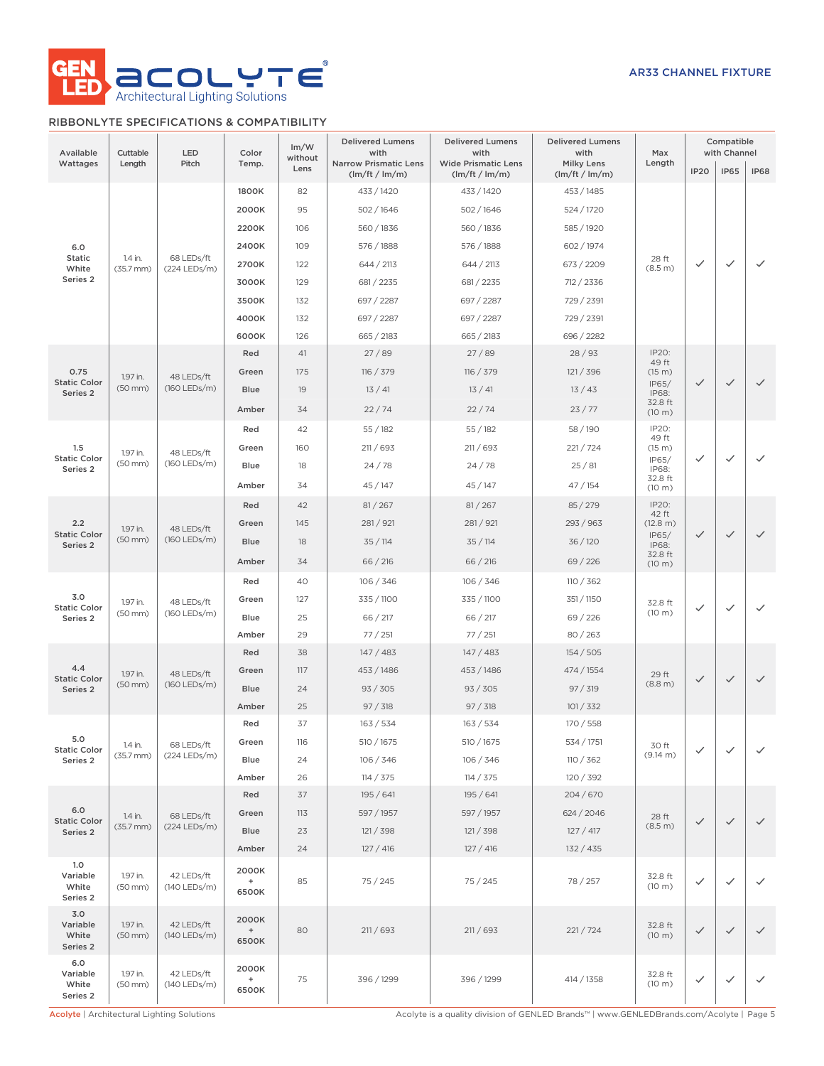

# RIBBONLYTE SPECIFICATIONS & COMPATIBILITY

| Available<br>Wattages                | Cuttable<br>Length       | LED<br>Pitch               | Color<br>Temp.              | Im/W<br>without<br>Lens | <b>Delivered Lumens</b><br>with<br><b>Narrow Prismatic Lens</b> | <b>Delivered Lumens</b><br>with<br><b>Wide Prismatic Lens</b> | <b>Delivered Lumens</b><br>with<br><b>Milky Lens</b> | Max<br>Length     | <b>IP20</b>  | Compatible<br>with Channel<br><b>IP65</b> | <b>IP68</b>  |              |              |              |  |  |  |  |  |  |  |  |  |      |    |          |             |          |          |              |              |              |              |              |
|--------------------------------------|--------------------------|----------------------------|-----------------------------|-------------------------|-----------------------------------------------------------------|---------------------------------------------------------------|------------------------------------------------------|-------------------|--------------|-------------------------------------------|--------------|--------------|--------------|--------------|--|--|--|--|--|--|--|--|--|------|----|----------|-------------|----------|----------|--------------|--------------|--------------|--------------|--------------|
|                                      |                          |                            |                             |                         | (lm/ft / lm/m)                                                  | (lm/ft / lm/m)                                                | (lm/ft / lm/m)                                       |                   |              |                                           |              |              |              |              |  |  |  |  |  |  |  |  |  |      |    |          |             |          |          |              |              |              |              |              |
|                                      |                          |                            | 1800K                       | 82                      | 433 / 1420                                                      | 433 / 1420                                                    | 453 / 1485                                           |                   |              |                                           |              |              |              |              |  |  |  |  |  |  |  |  |  |      |    |          |             |          |          |              |              |              |              |              |
|                                      |                          |                            | 2000K                       | 95                      | 502 / 1646                                                      | 502/1646                                                      | 524 / 1720                                           |                   |              |                                           |              |              |              |              |  |  |  |  |  |  |  |  |  |      |    |          |             |          |          |              |              |              |              |              |
|                                      |                          |                            | 2200K                       | 106                     | 560 / 1836                                                      | 560 / 1836                                                    | 585 / 1920                                           |                   |              |                                           |              |              |              |              |  |  |  |  |  |  |  |  |  |      |    |          |             |          |          |              |              |              |              |              |
| 6.0<br><b>Static</b>                 | 1.4 in.                  | 68 LEDs/ft                 | 2400K                       | 109                     | 576 / 1888                                                      | 576 / 1888                                                    | 602 / 1974                                           | 28 ft             |              |                                           |              |              |              |              |  |  |  |  |  |  |  |  |  |      |    |          |             |          |          |              |              |              |              |              |
| White<br>Series 2                    | $(35.7$ mm $)$           | (224 LEDs/m)               | 2700K                       | 122                     | 644 / 2113                                                      | 644 / 2113                                                    | 673 / 2209                                           | (8.5 m)           | $\checkmark$ | $\checkmark$                              | $\checkmark$ |              |              |              |  |  |  |  |  |  |  |  |  |      |    |          |             |          |          |              |              |              |              |              |
|                                      |                          |                            | 3000K                       | 129                     | 681 / 2235                                                      | 681 / 2235                                                    | 712 / 2336                                           |                   |              |                                           |              |              |              |              |  |  |  |  |  |  |  |  |  |      |    |          |             |          |          |              |              |              |              |              |
|                                      |                          |                            | 3500K                       | 132                     | 697 / 2287                                                      | 697 / 2287                                                    | 729 / 2391                                           |                   |              |                                           |              |              |              |              |  |  |  |  |  |  |  |  |  |      |    |          |             |          |          |              |              |              |              |              |
|                                      |                          |                            | 4000K                       | 132                     | 697 / 2287                                                      | 697 / 2287                                                    | 729 / 2391                                           |                   |              |                                           |              |              |              |              |  |  |  |  |  |  |  |  |  |      |    |          |             |          |          |              |              |              |              |              |
|                                      |                          |                            | 6000K<br>Red                | 126<br>41               | 665 / 2183<br>27/89                                             | 665 / 2183<br>27/89                                           | 696 / 2282<br>28/93                                  | IP20:             |              |                                           |              |              |              |              |  |  |  |  |  |  |  |  |  |      |    |          |             |          |          |              |              |              |              |              |
| 0.75                                 |                          |                            |                             | 175                     |                                                                 |                                                               |                                                      | 49 ft             |              |                                           |              |              |              |              |  |  |  |  |  |  |  |  |  |      |    |          |             |          |          |              |              |              |              |              |
| <b>Static Color</b>                  | 1.97 in.<br>$(50$ mm $)$ | 48 LEDs/ft<br>(160 LEDs/m) | Green                       | 19                      | 116 / 379                                                       | 116 / 379                                                     | 121 / 396                                            | (15 m)<br>IP65/   | $\checkmark$ | $\checkmark$                              | $\checkmark$ |              |              |              |  |  |  |  |  |  |  |  |  |      |    |          |             |          |          |              |              |              |              |              |
| Series 2                             |                          |                            | <b>Blue</b>                 |                         | 13/41                                                           | 13/41                                                         | 13/43                                                | IP68:<br>32.8 ft  |              |                                           |              |              |              |              |  |  |  |  |  |  |  |  |  |      |    |          |             |          |          |              |              |              |              |              |
|                                      |                          |                            | Amber                       | 34                      | 22/74                                                           | 22/74                                                         | 23/77                                                | (10 m)            |              |                                           |              |              |              |              |  |  |  |  |  |  |  |  |  |      |    |          |             |          |          |              |              |              |              |              |
|                                      |                          |                            | Red                         | 42                      | 55/182                                                          | 55/182                                                        | 58 / 190                                             | IP20:<br>49 ft    |              |                                           |              |              |              |              |  |  |  |  |  |  |  |  |  |      |    |          |             |          |          |              |              |              |              |              |
| 1.5<br><b>Static Color</b>           | 1.97 in.                 | 48 LEDs/ft<br>(160 LEDs/m) | Green                       | 160                     | 211/693                                                         | 211 / 693                                                     | 221/724                                              | (15 m)<br>IP65/   | $\checkmark$ | $\checkmark$                              | $\checkmark$ |              |              |              |  |  |  |  |  |  |  |  |  |      |    |          |             |          |          |              |              |              |              |              |
| Series 2                             | $(50$ mm $)$             |                            | Blue                        | 18                      | 24/78                                                           | 24/78                                                         | 25/81                                                | IP68:<br>32.8 ft  |              |                                           |              |              |              |              |  |  |  |  |  |  |  |  |  |      |    |          |             |          |          |              |              |              |              |              |
|                                      |                          |                            | Amber                       | 34                      | 45/147                                                          | 45/147                                                        | 47/154                                               | (10 m)            |              |                                           |              |              |              |              |  |  |  |  |  |  |  |  |  |      |    |          |             |          |          |              |              |              |              |              |
|                                      |                          |                            | Red                         | 42                      | 81 / 267                                                        | 81 / 267                                                      | 85 / 279                                             | IP20:<br>42 ft    |              |                                           |              |              |              |              |  |  |  |  |  |  |  |  |  |      |    |          |             |          |          |              |              |              |              |              |
| 2.2<br><b>Static Color</b>           | 1.97 in.                 | 48 LEDs/ft                 | Green                       | 145                     | 281 / 921                                                       | 281 / 921                                                     | 293 / 963                                            | (12.8 m)          |              |                                           |              |              |              |              |  |  |  |  |  |  |  |  |  |      |    |          |             |          |          |              |              |              |              |              |
| Series 2                             | $(50$ mm $)$             | (160 LEDs/m)               | Blue                        | 18                      | 35/114                                                          | 35/114                                                        | 36 / 120                                             | IP65/<br>IP68:    | $\checkmark$ | $\checkmark$                              | $\checkmark$ |              |              |              |  |  |  |  |  |  |  |  |  |      |    |          |             |          |          |              |              |              |              |              |
|                                      |                          |                            | Amber                       | 34                      | 66 / 216                                                        | 66 / 216                                                      | 69/226                                               | 32.8 ft<br>(10 m) |              |                                           |              |              |              |              |  |  |  |  |  |  |  |  |  |      |    |          |             |          |          |              |              |              |              |              |
|                                      |                          |                            | Red                         | 40                      | 106 / 346                                                       | 106 / 346                                                     | 110 / 362                                            |                   |              |                                           |              |              |              |              |  |  |  |  |  |  |  |  |  |      |    |          |             |          |          |              |              |              |              |              |
| 3.0                                  | 1.97 in.<br>$(50$ mm $)$ | 48 LEDs/ft<br>(160 LEDs/m) |                             | Green                   | 127                                                             | 335 / 1100                                                    | 335 / 1100                                           | 351 / 1150        | 32.8 ft      |                                           |              |              |              |              |  |  |  |  |  |  |  |  |  |      |    |          |             |          |          |              |              |              |              |              |
| <b>Static Color</b><br>Series 2      |                          |                            |                             |                         |                                                                 |                                                               |                                                      |                   |              |                                           |              |              |              |              |  |  |  |  |  |  |  |  |  | Blue | 25 | 66 / 217 | 66 / 217    | 69 / 226 | (10 m)   | $\checkmark$ | $\checkmark$ | $\checkmark$ |              |              |
|                                      |                          |                            | Amber                       | 29                      | 77/251                                                          | 77/251                                                        | 80/263                                               |                   |              |                                           |              |              |              |              |  |  |  |  |  |  |  |  |  |      |    |          |             |          |          |              |              |              |              |              |
|                                      |                          |                            | Red                         | 38                      | 147/483                                                         | 147/483                                                       | 154/505                                              |                   |              |                                           |              |              |              |              |  |  |  |  |  |  |  |  |  |      |    |          |             |          |          |              |              |              |              |              |
| 4.4<br><b>Static Color</b>           | 1.97 in.                 | 48 LEDs/ft<br>(160 LEDs/m) | Green                       | 117                     | 453 / 1486                                                      | 453 / 1486                                                    | 474 / 1554                                           | 29 ft             |              |                                           |              |              |              |              |  |  |  |  |  |  |  |  |  |      |    |          |             |          |          |              |              |              |              |              |
| Series 2                             | $(50$ mm $)$             |                            |                             |                         |                                                                 |                                                               |                                                      |                   |              |                                           |              |              |              |              |  |  |  |  |  |  |  |  |  |      |    |          | <b>Blue</b> | 24       | 93 / 305 | 93 / 305     | 97 / 319     | (8.8 m)      | $\checkmark$ | $\checkmark$ |
|                                      |                          |                            | Amber                       | 25                      | 97 / 318                                                        | 97 / 318                                                      | 101 / 332                                            |                   |              |                                           |              |              |              |              |  |  |  |  |  |  |  |  |  |      |    |          |             |          |          |              |              |              |              |              |
|                                      |                          |                            | Red                         | 37                      | 163 / 534                                                       | 163 / 534                                                     | 170 / 558                                            |                   |              |                                           |              |              |              |              |  |  |  |  |  |  |  |  |  |      |    |          |             |          |          |              |              |              |              |              |
| 5.0<br><b>Static Color</b>           | 1.4 in.                  | 68 LEDs/ft                 |                             |                         |                                                                 | Green                                                         | 116                                                  | 510 / 1675        | 510 / 1675   | 534 / 1751                                | 30 ft        | $\checkmark$ | $\checkmark$ | $\checkmark$ |  |  |  |  |  |  |  |  |  |      |    |          |             |          |          |              |              |              |              |              |
| Series 2                             | $(35.7$ mm $)$           | (224 LEDs/m)               | Blue                        | 24                      | 106 / 346                                                       | 106 / 346                                                     | 110 / 362                                            | (9.14 m)          |              |                                           |              |              |              |              |  |  |  |  |  |  |  |  |  |      |    |          |             |          |          |              |              |              |              |              |
|                                      |                          |                            | Amber                       | 26                      | 114 / 375                                                       | 114 / 375                                                     | 120 / 392                                            |                   |              |                                           |              |              |              |              |  |  |  |  |  |  |  |  |  |      |    |          |             |          |          |              |              |              |              |              |
|                                      |                          |                            | Red                         | 37                      | 195 / 641                                                       | 195 / 641                                                     | 204/670                                              |                   |              |                                           |              |              |              |              |  |  |  |  |  |  |  |  |  |      |    |          |             |          |          |              |              |              |              |              |
| 6.0<br><b>Static Color</b>           | 1.4 in.                  | 68 LEDs/ft                 | Green                       | 113                     | 597 / 1957                                                      | 597 / 1957                                                    | 624 / 2046                                           | 28 ft             | $\checkmark$ | $\checkmark$                              | $\checkmark$ |              |              |              |  |  |  |  |  |  |  |  |  |      |    |          |             |          |          |              |              |              |              |              |
| Series 2                             | $(35.7$ mm $)$           | (224 LEDs/m)               | <b>Blue</b>                 | 23                      | 121 / 398                                                       | 121 / 398                                                     | 127 / 417                                            | (8.5 m)           |              |                                           |              |              |              |              |  |  |  |  |  |  |  |  |  |      |    |          |             |          |          |              |              |              |              |              |
|                                      |                          |                            | Amber                       | 24                      | 127 / 416                                                       | 127 / 416                                                     | 132 / 435                                            |                   |              |                                           |              |              |              |              |  |  |  |  |  |  |  |  |  |      |    |          |             |          |          |              |              |              |              |              |
| 1.0<br>Variable<br>White<br>Series 2 | 1.97 in.<br>$(50$ mm $)$ | 42 LEDs/ft<br>(140 LEDs/m) | 2000K<br>+<br>6500K         | 85                      | 75/245                                                          | 75 / 245                                                      | 78 / 257                                             | 32.8 ft<br>(10 m) | $\checkmark$ | $\checkmark$                              | $\checkmark$ |              |              |              |  |  |  |  |  |  |  |  |  |      |    |          |             |          |          |              |              |              |              |              |
| 3.0<br>Variable<br>White<br>Series 2 | 1.97 in.<br>$(50$ mm $)$ | 42 LEDs/ft<br>(140 LEDs/m) | 2000K<br>$\ddot{}$<br>6500K | 80                      | 211/693                                                         | 211/693                                                       | 221/724                                              | 32.8 ft<br>(10 m) | $\checkmark$ | $\checkmark$                              | $\checkmark$ |              |              |              |  |  |  |  |  |  |  |  |  |      |    |          |             |          |          |              |              |              |              |              |
| 6.0<br>Variable<br>White<br>Series 2 | 1.97 in.<br>$(50$ mm $)$ | 42 LEDs/ft<br>(140 LEDs/m) | 2000K<br>$\ddot{}$<br>6500K | 75                      | 396 / 1299                                                      | 396 / 1299                                                    | 414 / 1358                                           | 32.8 ft<br>(10 m) | $\checkmark$ | $\checkmark$                              | $\checkmark$ |              |              |              |  |  |  |  |  |  |  |  |  |      |    |          |             |          |          |              |              |              |              |              |

Acolyte | Architectural Lighting Solutions <br>Acolyte is a quality division of GENLED Brands™ | www.GENLEDBrands.com/Acolyte | Page 5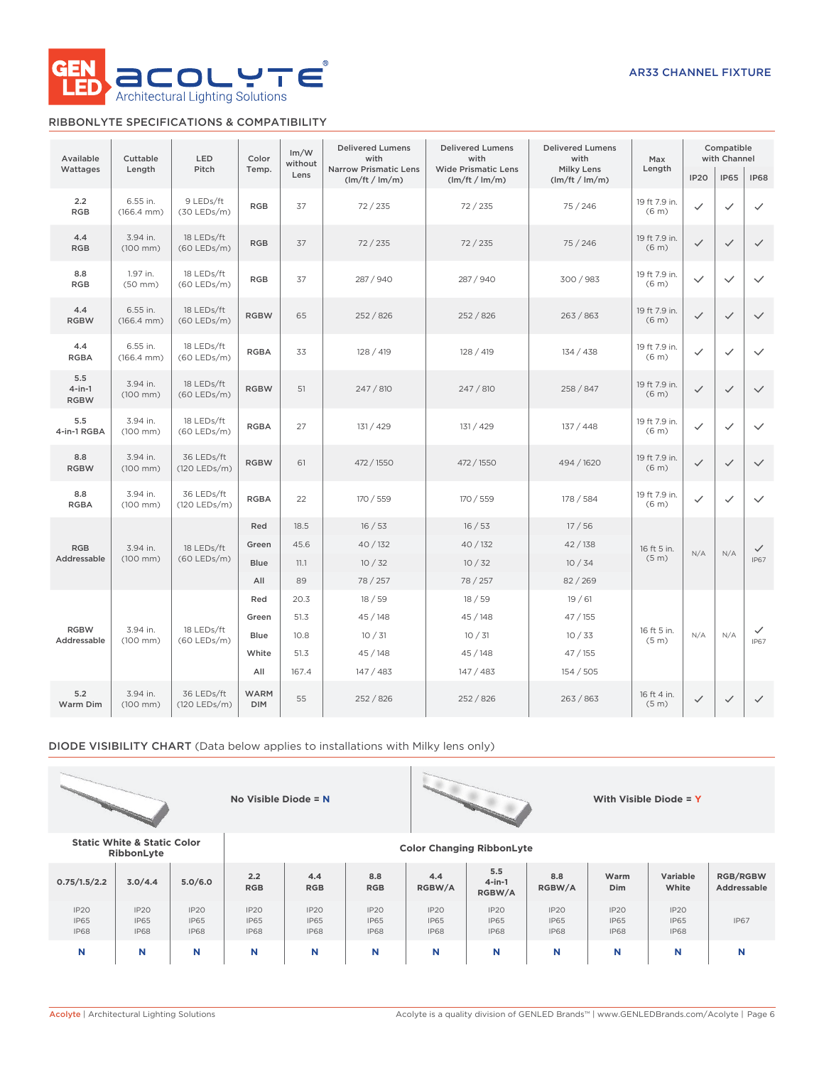

# RIBBONLYTE SPECIFICATIONS & COMPATIBILITY

| Available                       | Cuttable                           | LED                         | Color                     | Im/W<br>without | <b>Delivered Lumens</b><br>with                | <b>Delivered Lumens</b><br>with              | <b>Delivered Lumens</b><br>with     | Max                                |              | Compatible<br>with Channel |                  |
|---------------------------------|------------------------------------|-----------------------------|---------------------------|-----------------|------------------------------------------------|----------------------------------------------|-------------------------------------|------------------------------------|--------------|----------------------------|------------------|
| Wattages                        | Length                             | Pitch                       | Temp.                     | Lens            | <b>Narrow Prismatic Lens</b><br>(lm/ft / lm/m) | <b>Wide Prismatic Lens</b><br>(lm/ft / lm/m) | <b>Milky Lens</b><br>(lm/ft / lm/m) | Length                             | <b>IP20</b>  | <b>IP65</b>                | <b>IP68</b>      |
| 2.2<br><b>RGB</b>               | 6.55 in.<br>$(166.4 \, \text{mm})$ | 9 LEDs/ft<br>$(30$ LEDs/m)  | <b>RGB</b>                | 37              | 72/235                                         | 72/235                                       | 75 / 246                            | 19 ft 7.9 in.<br>(6 <sub>m</sub> ) | ✓            | $\checkmark$               | $\checkmark$     |
| 4.4<br><b>RGB</b>               | 3.94 in.<br>$(100$ mm $)$          | 18 LEDs/ft<br>$(60$ LEDs/m) | <b>RGB</b>                | 37              | 72/235                                         | 72/235                                       | 75/246                              | 19 ft 7.9 in.<br>(6 <sub>m</sub> ) | $\checkmark$ | $\checkmark$               | $\checkmark$     |
| 8.8<br><b>RGB</b>               | 1.97 in.<br>$(50$ mm $)$           | 18 LEDs/ft<br>(60 LEDs/m)   | <b>RGB</b>                | 37              | 287 / 940                                      | 287 / 940                                    | 300/983                             | 19 ft 7.9 in.<br>(6 <sub>m</sub> ) | $\checkmark$ | $\checkmark$               | $\checkmark$     |
| 4.4<br><b>RGBW</b>              | 6.55 in.<br>$(166.4 \, \text{mm})$ | 18 LEDs/ft<br>$(60$ LEDs/m) | <b>RGBW</b>               | 65              | 252/826                                        | 252/826                                      | 263/863                             | 19 ft 7.9 in.<br>(6 <sub>m</sub> ) | $\checkmark$ | $\checkmark$               | $\checkmark$     |
| 4.4<br><b>RGBA</b>              | 6.55 in.<br>$(166.4 \, \text{mm})$ | 18 LEDs/ft<br>(60 LEDs/m)   | <b>RGBA</b>               | 33              | 128 / 419                                      | 128 / 419                                    | 134 / 438                           | 19 ft 7.9 in.<br>(6 <sub>m</sub> ) | ✓            | $\checkmark$               | $\checkmark$     |
| 5.5<br>$4$ -in-1<br><b>RGBW</b> | 3.94 in.<br>$(100$ mm $)$          | 18 LEDs/ft<br>(60 LEDs/m)   | <b>RGBW</b>               | 51              | 247 / 810                                      | 247 / 810                                    | 258 / 847                           | 19 ft 7.9 in.<br>(6 <sub>m</sub> ) | $\checkmark$ | $\checkmark$               | $\checkmark$     |
| 5.5<br>4-in-1 RGBA              | 3.94 in.<br>$(100$ mm $)$          | 18 LEDs/ft<br>(60 LEDs/m)   | <b>RGBA</b>               | 27              | 131 / 429                                      | 131 / 429                                    | 137/448                             | 19 ft 7.9 in.<br>(6 <sub>m</sub> ) | $\checkmark$ | $\checkmark$               | $\checkmark$     |
| 8.8<br><b>RGBW</b>              | 3.94 in.<br>$(100$ mm $)$          | 36 LEDs/ft<br>(120 LEDs/m)  | <b>RGBW</b>               | 61              | 472 / 1550                                     | 472 / 1550                                   | 494 / 1620                          | 19 ft 7.9 in.<br>(6 <sub>m</sub> ) | $\checkmark$ | $\checkmark$               | $\checkmark$     |
| 8.8<br><b>RGBA</b>              | 3.94 in.<br>$(100$ mm $)$          | 36 LEDs/ft<br>(120 LEDs/m)  | <b>RGBA</b>               | 22              | 170 / 559                                      | 170 / 559                                    | 178 / 584                           |                                    | $\checkmark$ | $\checkmark$               | $\checkmark$     |
|                                 |                                    |                             | Red                       | 18.5            | 16/53                                          | 16/53                                        | 17/56                               |                                    |              |                            |                  |
| <b>RGB</b>                      | 3.94 in.                           | 18 LEDs/ft                  | Green                     | 45.6            | 40 / 132                                       | 40 / 132                                     | 42/138                              | 16 ft 5 in.                        | N/A          | N/A                        | $\checkmark$     |
| Addressable                     | $(100$ mm $)$                      | $(60$ LEDs/m)               | Blue                      | 11.1            | 10/32                                          | 10/32                                        | 10/34                               | (5 <sub>m</sub> )                  |              |                            | <b>IP67</b>      |
|                                 |                                    |                             | All                       | 89              | 78 / 257                                       | 78 / 257                                     | 82 / 269                            |                                    |              |                            |                  |
|                                 |                                    |                             | Red<br>Green              | 20.3            | 18/59                                          | 18/59                                        | 19/61                               |                                    |              |                            |                  |
| <b>RGBW</b>                     | 3.94 in.                           | 18 LEDs/ft                  | Blue                      | 51.3<br>10.8    | 45 / 148<br>10/31                              | 45/148<br>10/31                              | 47/155<br>10/33                     | 16 ft 5 in.                        | N/A          | N/A                        | ✓<br><b>IP67</b> |
| Addressable                     | $(100$ mm $)$                      | $(60$ LEDs/m)               | White                     | 51.3            | 45 / 148                                       | 45/148                                       | 47/155                              | (5 <sub>m</sub> )                  |              |                            |                  |
|                                 |                                    |                             | All                       | 167.4           | 147 / 483                                      | 147/483                                      | 154/505                             |                                    |              |                            |                  |
| 5.2<br>Warm Dim                 | 3.94 in.<br>$(100$ mm $)$          | 36 LEDs/ft<br>(120 LEDs/m)  | <b>WARM</b><br><b>DIM</b> | 55              | 252 / 826                                      | 252/826                                      | 263/863                             | 16 ft 4 in.<br>(5 <sub>m</sub> )   | $\checkmark$ | $\checkmark$               | $\checkmark$     |

DIODE VISIBILITY CHART (Data below applies to installations with Milky lens only)





**RibbonLyte Color Changing RibbonLyte**

**No Visible Diode = N With Visible Diode = Y**

**Static White & Static Color**

| 0.75/1.5/2.2                       | 3.0/4.4                            | 5.0/6.0                                        | 2.2<br><b>RGB</b>                  | 4.4<br><b>RGB</b>                  | 8.8<br><b>RGB</b>                  | 4.4<br>RGBW/A                      | 5.5<br>$4$ -in-1<br>RGBW/A                     | 8.8<br>RGBW/A                      | Warm<br>Dim                        | Variable<br>White                  | <b>RGB/RGBW</b><br>Addressable |
|------------------------------------|------------------------------------|------------------------------------------------|------------------------------------|------------------------------------|------------------------------------|------------------------------------|------------------------------------------------|------------------------------------|------------------------------------|------------------------------------|--------------------------------|
| IP2O<br><b>IP65</b><br><b>IP68</b> | IP20<br><b>IP65</b><br><b>IP68</b> | IP <sub>20</sub><br><b>IP65</b><br><b>IP68</b> | IP2O<br><b>IP65</b><br><b>IP68</b> | IP2O<br><b>IP65</b><br><b>IP68</b> | IP2O<br><b>IP65</b><br><b>IP68</b> | IP2O<br><b>IP65</b><br><b>IP68</b> | IP <sub>20</sub><br><b>IP65</b><br><b>IP68</b> | IP2O<br><b>IP65</b><br><b>IP68</b> | IP2O<br><b>IP65</b><br><b>IP68</b> | IP2O<br><b>IP65</b><br><b>IP68</b> | <b>IP67</b>                    |
| N                                  | N                                  |                                                | N                                  | N                                  | N                                  | N                                  | N                                              | N                                  | N                                  |                                    | N                              |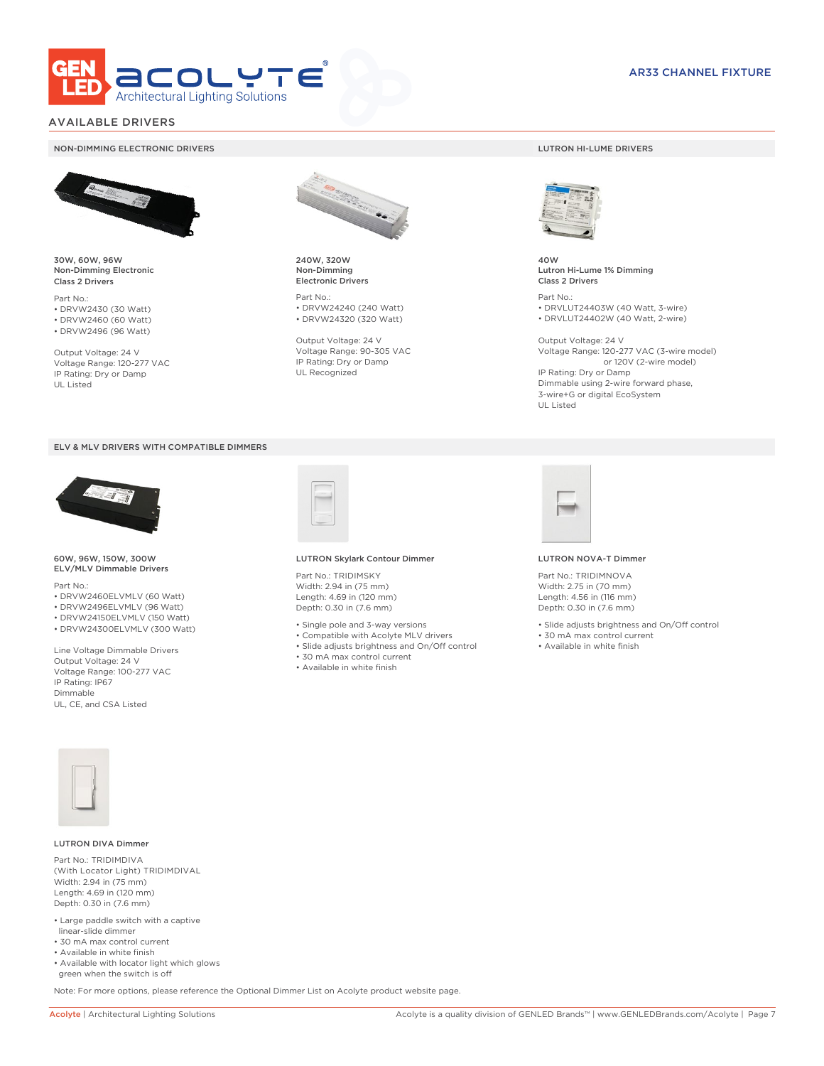

# AVAILABLE DRIVERS

### NON-DIMMING ELECTRONIC DRIVERS LUTRON HI-LUME DRIVERS



30W, 60W, 96W Non-Dimming Electronic Class 2 Drivers

Part No.: • DRVW2430 (30 Watt) • DRVW2460 (60 Watt)

• DRVW2496 (96 Watt)

Output Voltage: 24 V Voltage Range: 120-277 VAC IP Rating: Dry or Damp UL Listed





60W, 96W, 150W, 300W ELV/MLV Dimmable Drivers

Part No.:

- DRVW2460ELVMLV (60 Watt)
- DRVW2496ELVMLV (96 Watt)
- DRVW24150ELVMLV (150 Watt)
- DRVW24300ELVMLV (300 Watt)

Line Voltage Dimmable Drivers Output Voltage: 24 V Voltage Range: 100-277 VAC IP Rating: IP67 Dimmable UL, CE, and CSA Listed



240W, 320W Non-Dimming Electronic Drivers

Part No.: • DRVW24240 (240 Watt) • DRVW24320 (320 Watt)

Output Voltage: 24 V Voltage Range: 90-305 VAC IP Rating: Dry or Damp UL Recognized



40W Lutron Hi-Lume 1% Dimming Class 2 Drivers

Part No.: • DRVLUT24403W (40 Watt, 3-wire) • DRVLUT24402W (40 Watt, 2-wire)

Output Voltage: 24 V Voltage Range: 120-277 VAC (3-wire model) or 120V (2-wire model) IP Rating: Dry or Damp Dimmable using 2-wire forward phase, 3-wire+G or digital EcoSystem UL Listed



### LUTRON Skylark Contour Dimmer

Part No.: TRIDIMSKY Width: 2.94 in (75 mm) Length: 4.69 in (120 mm) Depth: 0.30 in (7.6 mm)

- Single pole and 3-way versions
- Compatible with Acolyte MLV drivers
- Slide adjusts brightness and On/Off control
- 30 mA max control current
- Available in white finish



#### LUTRON NOVA-T Dimmer

Part No.: TRIDIMNOVA Width: 2.75 in (70 mm) Length: 4.56 in (116 mm) Depth: 0.30 in (7.6 mm)

- Slide adjusts brightness and On/Off control
- 30 mA max control current
- Available in white finish



### LUTRON DIVA Dimmer

Part No.: TRIDIMDIVA (With Locator Light) TRIDIMDIVAL Width: 2.94 in (75 mm) Length: 4.69 in (120 mm) Depth: 0.30 in (7.6 mm)

- Large paddle switch with a captive linear-slide dimmer
- 30 mA max control current
- Available in white finish
- Available with locator light which glows green when the switch is off

Note: For more options, please reference the Optional Dimmer List on Acolyte product website page.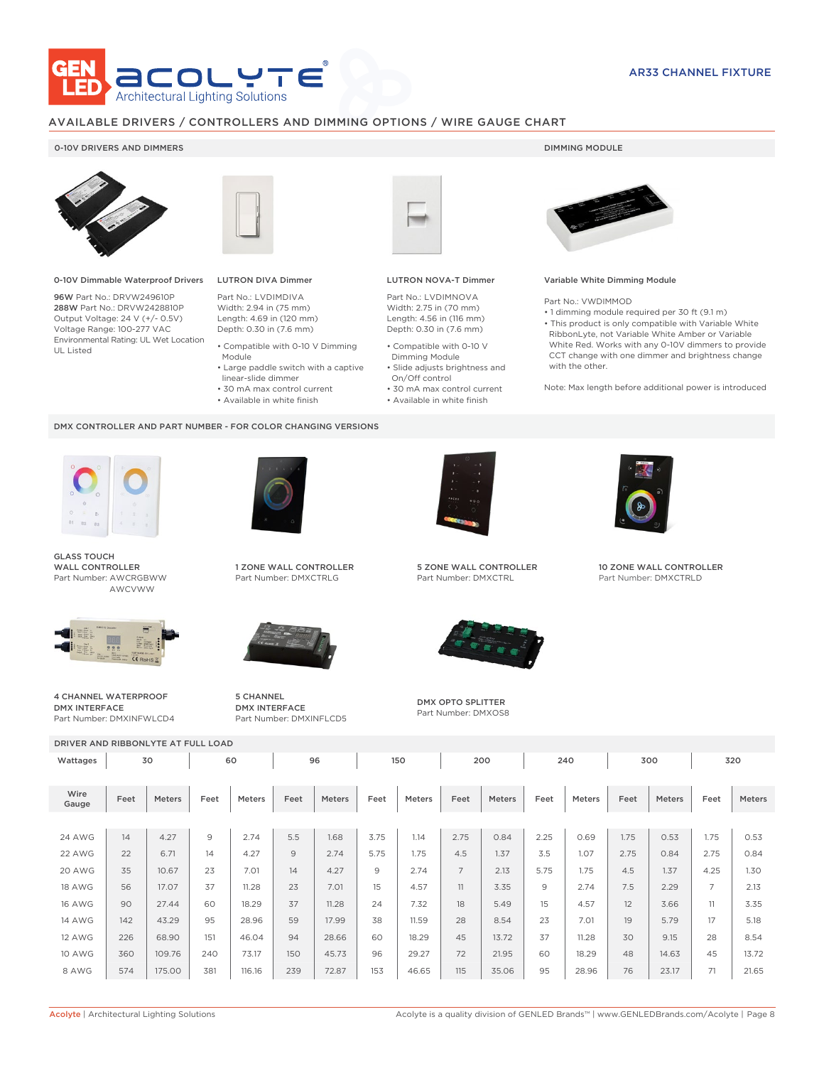

### AVAILABLE DRIVERS / CONTROLLERS AND DIMMING OPTIONS / WIRE GAUGE CHART

### 0-10V DRIVERS AND DIMMERS **DIMMING MODULE**



0-10V Dimmable Waterproof Drivers

96W Part No.: DRVW249610P 288W Part No.: DRVW2428810P Output Voltage: 24 V (+/- 0.5V) Voltage Range: 100-277 VAC Environmental Rating: UL Wet Location UL Listed



# LUTRON DIVA Dimmer

Part No.: LVDIMDIVA Width: 2.94 in (75 mm) Length: 4.69 in (120 mm) Depth: 0.30 in (7.6 mm)

- Compatible with 0-10 V Dimming
- Module • Large paddle switch with a captive
- linear-slide dimmer
- 30 mA max control current
- Available in white finish

### DMX CONTROLLER AND PART NUMBER - FOR COLOR CHANGING VERSIONS



GLASS TOUCH WALL CONTROLLER Part Number: AWCRGBWW AWCVWW



4 CHANNEL WATERPROOF DMX INTERFACE Part Number: DMXINFWLCD4



1 ZONE WALL CONTROLLER Part Number: DMXCTRLG



5 CHANNEL DMX INTERFACE Part Number: DMXINFLCD5



### LUTRON NOVA-T Dimmer

Part No.: LVDIMNOVA Width: 2.75 in (70 mm) Length: 4.56 in (116 mm) Depth: 0.30 in (7.6 mm)

- Compatible with 0-10 V Dimming Module
- Slide adjusts brightness and On/Off control
- 30 mA max control current • Available in white finish
	-



### Variable White Dimming Module

Part No.: VWDIMMOD

• 1 dimming module required per 30 ft (9.1 m) • This product is only compatible with Variable White RibbonLyte, not Variable White Amber or Variable White Red. Works with any 0-10V dimmers to provide CCT change with one dimmer and brightness change with the other.

Note: Max length before additional power is introduced



5 ZONE WALL CONTROLLER Part Number: DMXCTRL



DMX OPTO SPLITTER Part Number: DMXOS8



10 ZONE WALL CONTROLLER Part Number: DMXCTRLD

| DRIVER AND RIBBONLYTE AT FULL LOAD |          |               |                |        |      |        |      |               |                |        |      |        |      |        |                |        |
|------------------------------------|----------|---------------|----------------|--------|------|--------|------|---------------|----------------|--------|------|--------|------|--------|----------------|--------|
| Wattages                           | 60<br>30 |               |                | 96     |      |        | 150  |               | 200            |        | 240  |        | 300  |        | 320            |        |
| Wire<br>Gauge                      | Feet     | <b>Meters</b> | Feet           | Meters | Feet | Meters | Feet | <b>Meters</b> | Feet           | Meters | Feet | Meters | Feet | Meters | Feet           | Meters |
|                                    |          |               |                |        |      |        |      |               |                |        |      |        |      |        |                |        |
| 24 AWG                             | 14       | 4.27          | $\overline{9}$ | 2.74   | 5.5  | 1.68   | 3.75 | 1.14          | 2.75           | 0.84   | 2.25 | 0.69   | 1.75 | 0.53   | 1.75           | 0.53   |
| 22 AWG                             | 22       | 6.71          | 14             | 4.27   | 9    | 2.74   | 5.75 | 1.75          | 4.5            | 1.37   | 3.5  | 1.07   | 2.75 | 0.84   | 2.75           | 0.84   |
| 20 AWG                             | 35       | 10.67         | 23             | 7.01   | 14   | 4.27   | 9    | 2.74          | $\overline{7}$ | 2.13   | 5.75 | 1.75   | 4.5  | 1.37   | 4.25           | 1.30   |
| <b>18 AWG</b>                      | 56       | 17.07         | 37             | 11.28  | 23   | 7.01   | 15   | 4.57          | 11             | 3.35   | 9    | 2.74   | 7.5  | 2.29   | $\overline{7}$ | 2.13   |
| <b>16 AWG</b>                      | 90       | 27.44         | 60             | 18.29  | 37   | 11.28  | 24   | 7.32          | 18             | 5.49   | 15   | 4.57   | 12   | 3.66   | 11             | 3.35   |
| <b>14 AWG</b>                      | 142      | 43.29         | 95             | 28.96  | 59   | 17.99  | 38   | 11.59         | 28             | 8.54   | 23   | 7.01   | 19   | 5.79   | 17             | 5.18   |
| <b>12 AWG</b>                      | 226      | 68.90         | 151            | 46.04  | 94   | 28.66  | 60   | 18.29         | 45             | 13.72  | 37   | 11.28  | 30   | 9.15   | 28             | 8.54   |
| <b>10 AWG</b>                      | 360      | 109.76        | 240            | 73.17  | 150  | 45.73  | 96   | 29.27         | 72             | 21.95  | 60   | 18.29  | 48   | 14.63  | 45             | 13.72  |
| 8 AWG                              | 574      | 175.00        | 381            | 116.16 | 239  | 72.87  | 153  | 46.65         | 115            | 35.06  | 95   | 28.96  | 76   | 23.17  | 71             | 21.65  |